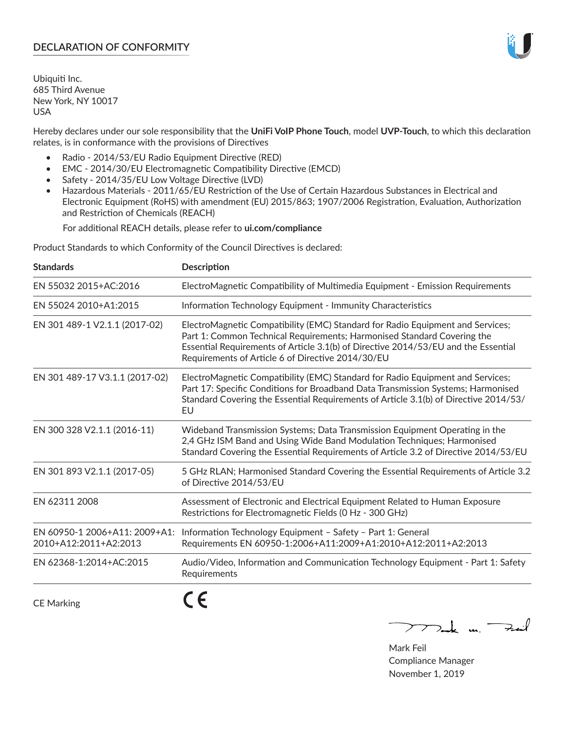# **DECLARATION OF CONFORMITY**

Ubiquiti Inc. 685 Third Avenue New York, NY 10017 USA

Hereby declares under our sole responsibility that the **UniFi VoIP Phone Touch**, model **UVP-Touch**, to which this declaration relates, is in conformance with the provisions of Directives

- Radio 2014/53/EU Radio Equipment Directive (RED)
- EMC 2014/30/EU Electromagnetic Compatibility Directive (EMCD)
- Safety 2014/35/EU Low Voltage Directive (LVD)
- Hazardous Materials 2011/65/EU Restriction of the Use of Certain Hazardous Substances in Electrical and Electronic Equipment (RoHS) with amendment (EU) 2015/863; 1907/2006 Registration, Evaluation, Authorization and Restriction of Chemicals (REACH)

For additional REACH details, please refer to **ui.com/compliance**

Product Standards to which Conformity of the Council Directives is declared:

| <b>Standards</b>                                       | <b>Description</b>                                                                                                                                                                                                                                                                                   |
|--------------------------------------------------------|------------------------------------------------------------------------------------------------------------------------------------------------------------------------------------------------------------------------------------------------------------------------------------------------------|
| EN 55032 2015+AC:2016                                  | ElectroMagnetic Compatibility of Multimedia Equipment - Emission Requirements                                                                                                                                                                                                                        |
| EN 55024 2010+A1:2015                                  | Information Technology Equipment - Immunity Characteristics                                                                                                                                                                                                                                          |
| EN 301 489-1 V2.1.1 (2017-02)                          | ElectroMagnetic Compatibility (EMC) Standard for Radio Equipment and Services;<br>Part 1: Common Technical Requirements; Harmonised Standard Covering the<br>Essential Requirements of Article 3.1(b) of Directive 2014/53/EU and the Essential<br>Requirements of Article 6 of Directive 2014/30/EU |
| EN 301 489-17 V3.1.1 (2017-02)                         | ElectroMagnetic Compatibility (EMC) Standard for Radio Equipment and Services;<br>Part 17: Specific Conditions for Broadband Data Transmission Systems; Harmonised<br>Standard Covering the Essential Requirements of Article 3.1(b) of Directive 2014/53/<br>EU                                     |
| EN 300 328 V2.1.1 (2016-11)                            | Wideband Transmission Systems; Data Transmission Equipment Operating in the<br>2,4 GHz ISM Band and Using Wide Band Modulation Techniques; Harmonised<br>Standard Covering the Essential Requirements of Article 3.2 of Directive 2014/53/EU                                                         |
| EN 301 893 V2.1.1 (2017-05)                            | 5 GHz RLAN; Harmonised Standard Covering the Essential Requirements of Article 3.2<br>of Directive 2014/53/EU                                                                                                                                                                                        |
| EN 62311 2008                                          | Assessment of Electronic and Electrical Equipment Related to Human Exposure<br>Restrictions for Electromagnetic Fields (0 Hz - 300 GHz)                                                                                                                                                              |
| EN 60950-1 2006+A11: 2009+A1:<br>2010+A12:2011+A2:2013 | Information Technology Equipment - Safety - Part 1: General<br>Requirements EN 60950-1:2006+A11:2009+A1:2010+A12:2011+A2:2013                                                                                                                                                                        |
| EN 62368-1:2014+AC:2015                                | Audio/Video, Information and Communication Technology Equipment - Part 1: Safety<br>Requirements                                                                                                                                                                                                     |
| <b>CE Marking</b>                                      |                                                                                                                                                                                                                                                                                                      |

 $\nabla$  and  $\nabla$  and  $\nabla$ 

Mark Feil Compliance Manager November 1, 2019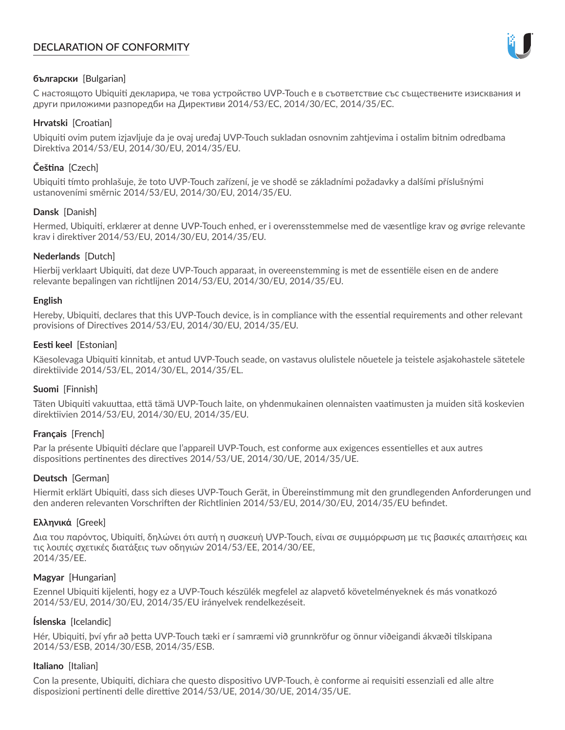# **DECLARATION OF CONFORMITY**



## **български** [Bulgarian]

С настоящото Ubiquiti декларира, че това устройство UVP-Touch е в съответствие със съществените изисквания и други приложими разпоредби на Директиви 2014/53/EC, 2014/30/ЕС, 2014/35/ЕС.

## **Hrvatski** [Croatian]

Ubiquiti ovim putem izjavljuje da je ovaj uređaj UVP-Touch sukladan osnovnim zahtjevima i ostalim bitnim odredbama Direktiva 2014/53/EU, 2014/30/EU, 2014/35/EU.

# **Čeština** [Czech]

Ubiquiti tímto prohlašuje, že toto UVP-Touch zařízení, je ve shodě se základními požadavky a dalšími příslušnými ustanoveními směrnic 2014/53/EU, 2014/30/EU, 2014/35/EU.

# **Dansk** [Danish]

Hermed, Ubiquiti, erklærer at denne UVP-Touch enhed, er i overensstemmelse med de væsentlige krav og øvrige relevante krav i direktiver 2014/53/EU, 2014/30/EU, 2014/35/EU.

# **Nederlands** [Dutch]

Hierbij verklaart Ubiquiti, dat deze UVP-Touch apparaat, in overeenstemming is met de essentiële eisen en de andere relevante bepalingen van richtlijnen 2014/53/EU, 2014/30/EU, 2014/35/EU.

## **English**

Hereby, Ubiquiti, declares that this UVP-Touch device, is in compliance with the essential requirements and other relevant provisions of Directives 2014/53/EU, 2014/30/EU, 2014/35/EU.

## **Eesti keel** [Estonian]

Käesolevaga Ubiquiti kinnitab, et antud UVP-Touch seade, on vastavus olulistele nõuetele ja teistele asjakohastele sätetele direktiivide 2014/53/EL, 2014/30/EL, 2014/35/EL.

## **Suomi** [Finnish]

Täten Ubiquiti vakuuttaa, että tämä UVP-Touch laite, on yhdenmukainen olennaisten vaatimusten ja muiden sitä koskevien direktiivien 2014/53/EU, 2014/30/EU, 2014/35/EU.

## **Français** [French]

Par la présente Ubiquiti déclare que l'appareil UVP-Touch, est conforme aux exigences essentielles et aux autres dispositions pertinentes des directives 2014/53/UE, 2014/30/UE, 2014/35/UE.

## **Deutsch** [German]

Hiermit erklärt Ubiquiti, dass sich dieses UVP-Touch Gerät, in Übereinstimmung mit den grundlegenden Anforderungen und den anderen relevanten Vorschriften der Richtlinien 2014/53/EU, 2014/30/EU, 2014/35/EU befindet.

## **Ελληνικά** [Greek]

Δια του παρόντος, Ubiquiti, δηλώνει ότι αυτή η συσκευή UVP-Touch, είναι σε συμμόρφωση με τις βασικές απαιτήσεις και τις λοιπές σχετικές διατάξεις των οδηγιών 2014/53/EE, 2014/30/EE, 2014/35/EE.

## **Magyar** [Hungarian]

Ezennel Ubiquiti kijelenti, hogy ez a UVP-Touch készülék megfelel az alapvető követelményeknek és más vonatkozó 2014/53/EU, 2014/30/EU, 2014/35/EU irányelvek rendelkezéseit.

## **Íslenska** [Icelandic]

Hér, Ubiquiti, því yfir að þetta UVP-Touch tæki er í samræmi við grunnkröfur og önnur viðeigandi ákvæði tilskipana 2014/53/ESB, 2014/30/ESB, 2014/35/ESB.

## **Italiano** [Italian]

Con la presente, Ubiquiti, dichiara che questo dispositivo UVP-Touch, è conforme ai requisiti essenziali ed alle altre disposizioni pertinenti delle direttive 2014/53/UE, 2014/30/UE, 2014/35/UE.